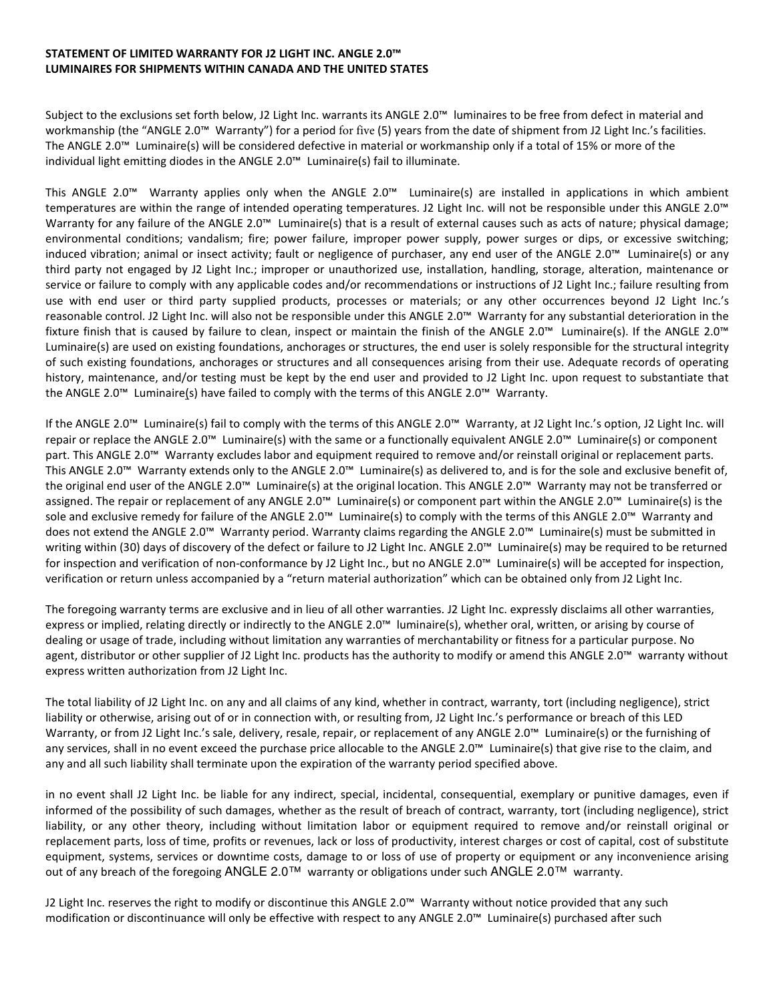## STATEMENT OF LIMITED WARRANTY FOR J2 LIGHT INC. ANGLE 2.0™ LUMINAIRES FOR SHIPMENTS WITHIN CANADA AND THE UNITED STATES

Subject to the exclusions set forth below, J2 Light Inc. warrants its ANGLE 2.0™ luminaires to be free from defect in material and workmanship (the "ANGLE 2.0™ Warranty") for a period for five (5) years from the date of shipment from J2 Light Inc.'s facilities. The ANGLE 2.0™ Luminaire(s) will be considered defective in material or workmanship only if a total of 15% or more of the individual light emitting diodes in the ANGLE 2.0™ Luminaire(s) fail to illuminate.

This ANGLE 2.0™ Warranty applies only when the ANGLE 2.0™ Luminaire(s) are installed in applications in which ambient temperatures are within the range of intended operating temperatures. J2 Light Inc. will not be responsible under this ANGLE 2.0™ Warranty for any failure of the ANGLE 2.0™ Luminaire(s) that is a result of external causes such as acts of nature; physical damage; environmental conditions; vandalism; fire; power failure, improper power supply, power surges or dips, or excessive switching; induced vibration; animal or insect activity; fault or negligence of purchaser, any end user of the ANGLE 2.0™ Luminaire(s) or any third party not engaged by J2 Light Inc.; improper or unauthorized use, installation, handling, storage, alteration, maintenance or service or failure to comply with any applicable codes and/or recommendations or instructions of J2 Light Inc.; failure resulting from use with end user or third party supplied products, processes or materials; or any other occurrences beyond J2 Light Inc.'s reasonable control. J2 Light Inc. will also not be responsible under this ANGLE 2.0™ Warranty for any substantial deterioration in the fixture finish that is caused by failure to clean, inspect or maintain the finish of the ANGLE 2.0™ Luminaire(s). If the ANGLE 2.0™ Luminaire(s) are used on existing foundations, anchorages or structures, the end user is solely responsible for the structural integrity of such existing foundations, anchorages or structures and all consequences arising from their use. Adequate records of operating history, maintenance, and/or testing must be kept by the end user and provided to J2 Light Inc. upon request to substantiate that the ANGLE 2.0™ Luminaire(s) have failed to comply with the terms of this ANGLE 2.0™ Warranty.

If the ANGLE 2.0™ Luminaire(s) fail to comply with the terms of this ANGLE 2.0™ Warranty, at J2 Light Inc.'s option, J2 Light Inc. will repair or replace the ANGLE 2.0™ Luminaire(s) with the same or a functionally equivalent ANGLE 2.0™ Luminaire(s) or component part. This ANGLE 2.0™ Warranty excludes labor and equipment required to remove and/or reinstall original or replacement parts. This ANGLE 2.0™ Warranty extends only to the ANGLE 2.0™ Luminaire(s) as delivered to, and is for the sole and exclusive benefit of, the original end user of the ANGLE 2.0™ Luminaire(s) at the original location. This ANGLE 2.0™ Warranty may not be transferred or assigned. The repair or replacement of any ANGLE 2.0™ Luminaire(s) or component part within the ANGLE 2.0™ Luminaire(s) is the sole and exclusive remedy for failure of the ANGLE 2.0™ Luminaire(s) to comply with the terms of this ANGLE 2.0™ Warranty and does not extend the ANGLE 2.0™ Warranty period. Warranty claims regarding the ANGLE 2.0™ Luminaire(s) must be submitted in writing within (30) days of discovery of the defect or failure to J2 Light Inc. ANGLE 2.0™ Luminaire(s) may be required to be returned for inspection and verification of non-conformance by J2 Light Inc., but no ANGLE 2.0™ Luminaire(s) will be accepted for inspection, verification or return unless accompanied by a "return material authorization" which can be obtained only from J2 Light Inc.

The foregoing warranty terms are exclusive and in lieu of all other warranties. J2 Light Inc. expressly disclaims all other warranties, express or implied, relating directly or indirectly to the ANGLE 2.0™ luminaire(s), whether oral, written, or arising by course of dealing or usage of trade, including without limitation any warranties of merchantability or fitness for a particular purpose. No agent, distributor or other supplier of J2 Light Inc. products has the authority to modify or amend this ANGLE 2.0™ warranty without express written authorization from J2 Light Inc.

The total liability of J2 Light Inc. on any and all claims of any kind, whether in contract, warranty, tort (including negligence), strict liability or otherwise, arising out of or in connection with, or resulting from, J2 Light Inc.'s performance or breach of this LED Warranty, or from J2 Light Inc.'s sale, delivery, resale, repair, or replacement of any ANGLE 2.0™ Luminaire(s) or the furnishing of any services, shall in no event exceed the purchase price allocable to the ANGLE 2.0™ Luminaire(s) that give rise to the claim, and any and all such liability shall terminate upon the expiration of the warranty period specified above.

in no event shall J2 Light Inc. be liable for any indirect, special, incidental, consequential, exemplary or punitive damages, even if informed of the possibility of such damages, whether as the result of breach of contract, warranty, tort (including negligence), strict liability, or any other theory, including without limitation labor or equipment required to remove and/or reinstall original or replacement parts, loss of time, profits or revenues, lack or loss of productivity, interest charges or cost of capital, cost of substitute equipment, systems, services or downtime costs, damage to or loss of use of property or equipment or any inconvenience arising out of any breach of the foregoing ANGLE 2.0™ warranty or obligations under such ANGLE 2.0™ warranty.

J2 Light Inc. reserves the right to modify or discontinue this ANGLE 2.0™ Warranty without notice provided that any such modification or discontinuance will only be effective with respect to any ANGLE 2.0™ Luminaire(s) purchased after such